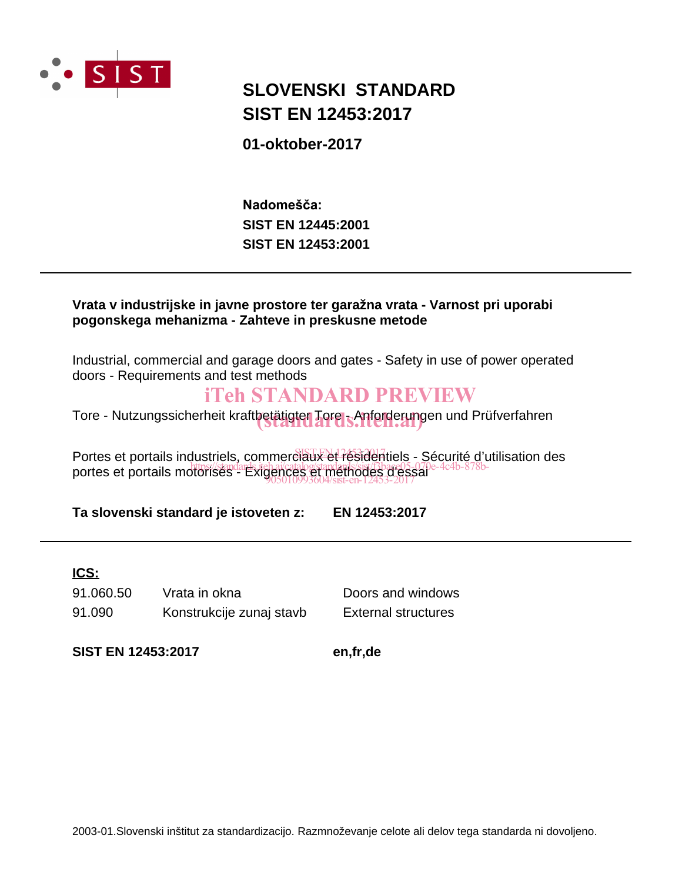

# **SIST EN 12453:2017 SLOVENSKI STANDARD**

**01-oktober-2017**

**SIST EN 12453:2001 SIST EN 12445:2001** Nadomešča:

### **Vrata v industrijske in javne prostore ter garažna vrata - Varnost pri uporabi pogonskega mehanizma - Zahteve in preskusne metode**

Industrial, commercial and garage doors and gates - Safety in use of power operated doors - Requirements and test methods

# iTeh STANDARD PREVIEW

Tore - Nutzungssicherheit kraftbetätigter Tore - Anforderungen und Prüfverfahren

Portes et portails industriels, commerciaux et résidentiels - Sécurité d'utilisation des portes et portails motorisés - Exigences et méthodes d'essai 905010993604/sist-en-12453-2017

**Ta slovenski standard je istoveten z: EN 12453:2017**

### **ICS:**

91.090 Konstrukcije zunaj stavb External structures 91.060.50 Vrata in okna Doors and windows

**SIST EN 12453:2017 en,fr,de**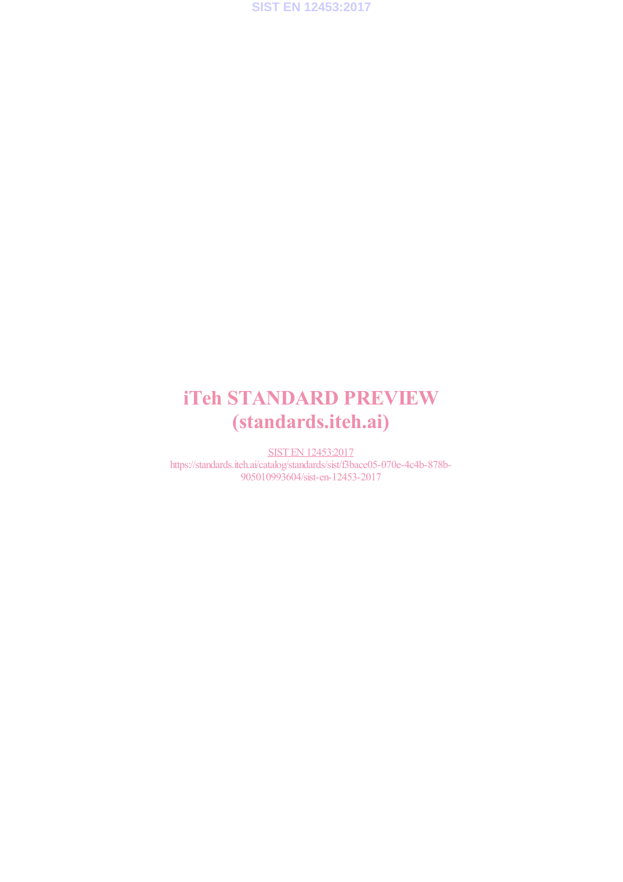

# iTeh STANDARD PREVIEW (standards.iteh.ai)

SIST EN 12453:2017 https://standards.iteh.ai/catalog/standards/sist/f3bace05-070e-4c4b-878b-905010993604/sist-en-12453-2017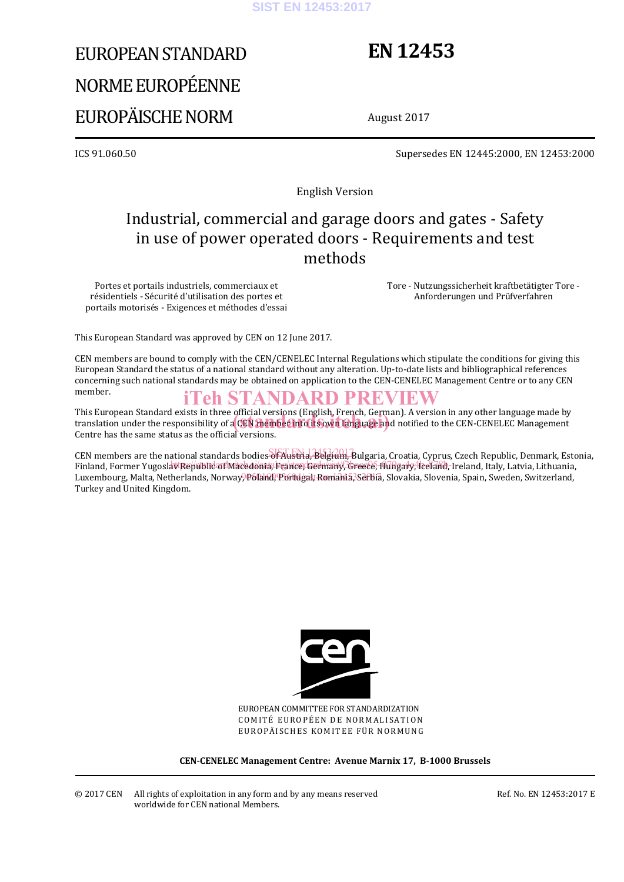#### **SIST EN 12453:2017**

# EUROPEAN STANDARD NORME EUROPÉENNE EUROPÄISCHE NORM

# **EN 12453**

August 2017

ICS 91.060.50 Supersedes EN 12445:2000, EN 12453:2000

English Version

# Industrial, commercial and garage doors and gates - Safety in use of power operated doors - Requirements and test methods

Portes et portails industriels, commerciaux et résidentiels - Sécurité d'utilisation des portes et portails motorisés - Exigences et méthodes d'essai  Tore - Nutzungssicherheit kraftbetätigter Tore - Anforderungen und Prüfverfahren

This European Standard was approved by CEN on 12 June 2017.

CEN members are bound to comply with the CEN/CENELEC Internal Regulations which stipulate the conditions for giving this European Standard the status of a national standard without any alteration. Up-to-date lists and bibliographical references concerning such national standards may be obtained on application to the CEN-CENELEC Management Centre or to any CEN member.

### iTeh STANDARD PREVIEW

This European Standard exists in three official versions (English, French, German). A version in any other language made by This European Standard exists in three official versions (English, French, German). A version in any other language made by<br>translation under the responsibility of a CEN member into its own language and notified to the CEN Centre has the same status as the official versions.

CEN members are the national standards bodies of Austria, Belgium, Bulgaria, Croatia, Cyprus, Czech Republic, Denmark, Estonia, Finland, Former Yugoslav Republic of Macedonia, France, Germany, Greece, Hungary, Iceland, Ireland, Italy, Latvia, Lithuania, Luxembourg, Malta, Netherlands, Norway, Poland, Portugal, Romania, Sefbia, Slovakia, Slovenia, Spain, Sweden, Switzerland, Turkey and United Kingdom.



EUROPEAN COMMITTEE FOR STANDARDIZATION COMITÉ EUROPÉEN DE NORMALISATION EUROPÄISCHES KOMITEE FÜR NORMUNG

**CEN-CENELEC Management Centre: Avenue Marnix 17, B-1000 Brussels**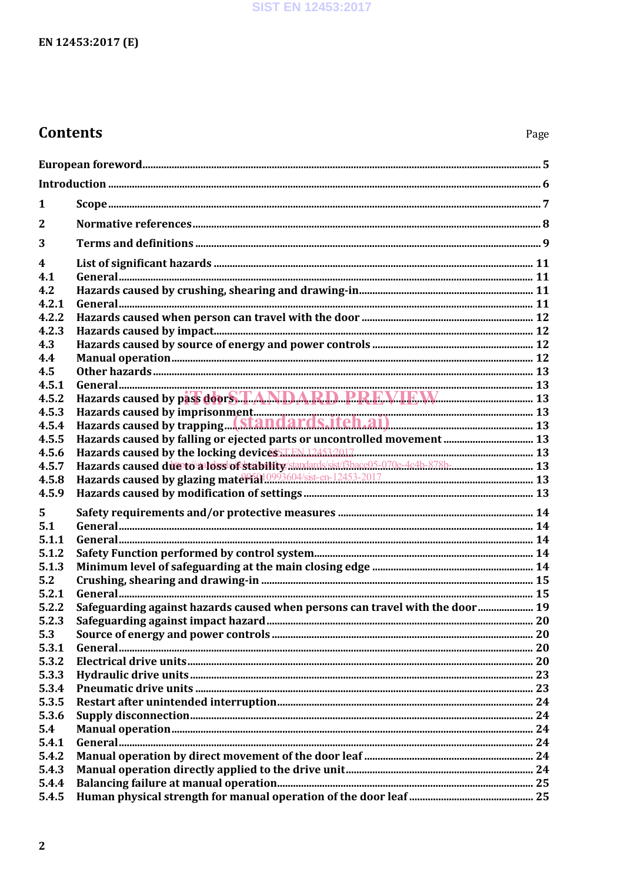# **Contents**

| 1              |                                                                                       |  |  |
|----------------|---------------------------------------------------------------------------------------|--|--|
| $\overline{2}$ |                                                                                       |  |  |
| 3              |                                                                                       |  |  |
| 4              |                                                                                       |  |  |
| 4.1            |                                                                                       |  |  |
| 4.2            |                                                                                       |  |  |
| 4.2.1          |                                                                                       |  |  |
| 4.2.2          |                                                                                       |  |  |
| 4.2.3          |                                                                                       |  |  |
| 4.3            |                                                                                       |  |  |
| 4.4            |                                                                                       |  |  |
| 4.5            |                                                                                       |  |  |
| 4.5.1          |                                                                                       |  |  |
| 4.5.2          |                                                                                       |  |  |
| 4.5.3          |                                                                                       |  |  |
| 4.5.4          | Hazards caused by imprisonment<br>Hazards caused by trapping(Standards.iteh.ai)<br>13 |  |  |
| 4.5.5          | Hazards caused by falling or ejected parts or uncontrolled movement  13               |  |  |
| 4.5.6          |                                                                                       |  |  |
| 4.5.7          | Hazards caused due to aloss of stability standards sist (Bbace05-070e-4c4b-878b- 13   |  |  |
| 4.5.8          |                                                                                       |  |  |
| 4.5.9          |                                                                                       |  |  |
| 5              |                                                                                       |  |  |
| 5.1            |                                                                                       |  |  |
| 5.1.1          |                                                                                       |  |  |
| 5.1.2          |                                                                                       |  |  |
| 5.1.3          |                                                                                       |  |  |
| 5.2            |                                                                                       |  |  |
| 5.2.1          |                                                                                       |  |  |
| 5.2.2          | Safeguarding against hazards caused when persons can travel with the door 19          |  |  |
| 5.2.3          |                                                                                       |  |  |
| 5.3            |                                                                                       |  |  |
| 5.3.1          |                                                                                       |  |  |
| 5.3.2          |                                                                                       |  |  |
| 5.3.3          |                                                                                       |  |  |
| 5.3.4          |                                                                                       |  |  |
| 5.3.5          |                                                                                       |  |  |
| 5.3.6          |                                                                                       |  |  |
| 5.4            |                                                                                       |  |  |
| 5.4.1          |                                                                                       |  |  |
| 5.4.2          |                                                                                       |  |  |
| 5.4.3          |                                                                                       |  |  |
| 5.4.4          |                                                                                       |  |  |
| 5.4.5          |                                                                                       |  |  |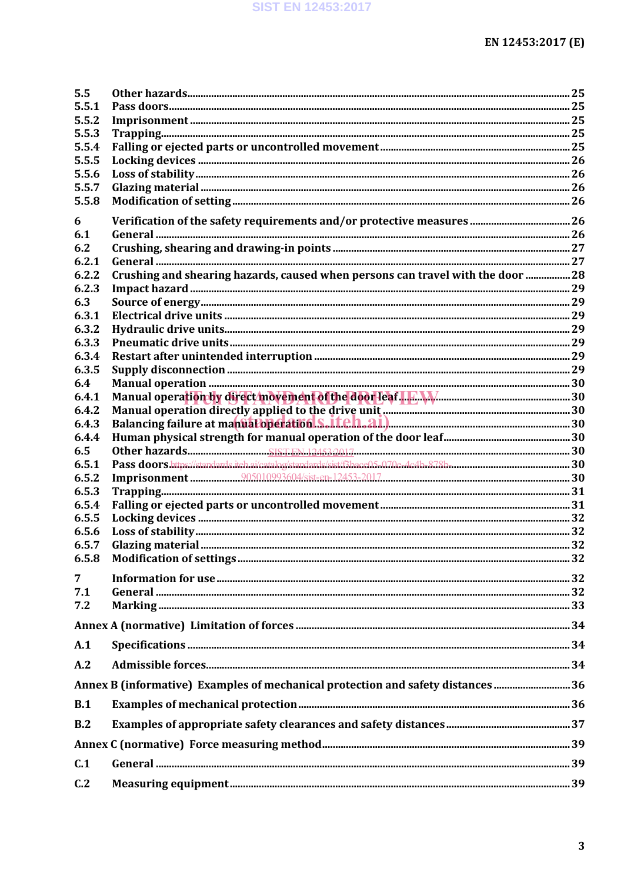| 5.5        |                                                                                 |  |
|------------|---------------------------------------------------------------------------------|--|
| 5.5.1      |                                                                                 |  |
| 5.5.2      |                                                                                 |  |
| 5.5.3      |                                                                                 |  |
| 5.5.4      |                                                                                 |  |
| 5.5.5      |                                                                                 |  |
| 5.5.6      |                                                                                 |  |
| 5.5.7      |                                                                                 |  |
| 5.5.8      |                                                                                 |  |
| 6          |                                                                                 |  |
| 6.1        |                                                                                 |  |
| 6.2        |                                                                                 |  |
| 6.2.1      |                                                                                 |  |
| 6.2.2      | Crushing and shearing hazards, caused when persons can travel with the door 28  |  |
| 6.2.3      |                                                                                 |  |
| 6.3        |                                                                                 |  |
| 6.3.1      |                                                                                 |  |
| 6.3.2      |                                                                                 |  |
| 6.3.3      |                                                                                 |  |
| 6.3.4      |                                                                                 |  |
| 6.3.5      |                                                                                 |  |
| 6.4        |                                                                                 |  |
| 6.4.1      |                                                                                 |  |
| 6.4.2      |                                                                                 |  |
| 6.4.3      | Balancing failure at manuatoperation S.iteh.ai.                                 |  |
| 6.4.4      |                                                                                 |  |
| 6.5        |                                                                                 |  |
| 6.5.1      |                                                                                 |  |
| 6.5.2      |                                                                                 |  |
| 6.5.3      |                                                                                 |  |
| 6.5.4      |                                                                                 |  |
| 6.5.5      |                                                                                 |  |
| 6.5.6      |                                                                                 |  |
| 6.5.7      |                                                                                 |  |
|            |                                                                                 |  |
|            |                                                                                 |  |
| 7          |                                                                                 |  |
| 7.1<br>7.2 |                                                                                 |  |
|            |                                                                                 |  |
|            |                                                                                 |  |
| A.1        |                                                                                 |  |
| A.2        |                                                                                 |  |
|            | Annex B (informative) Examples of mechanical protection and safety distances 36 |  |
| B.1        |                                                                                 |  |
| B.2        |                                                                                 |  |
|            |                                                                                 |  |
| C.1        |                                                                                 |  |
|            |                                                                                 |  |
| C.2        |                                                                                 |  |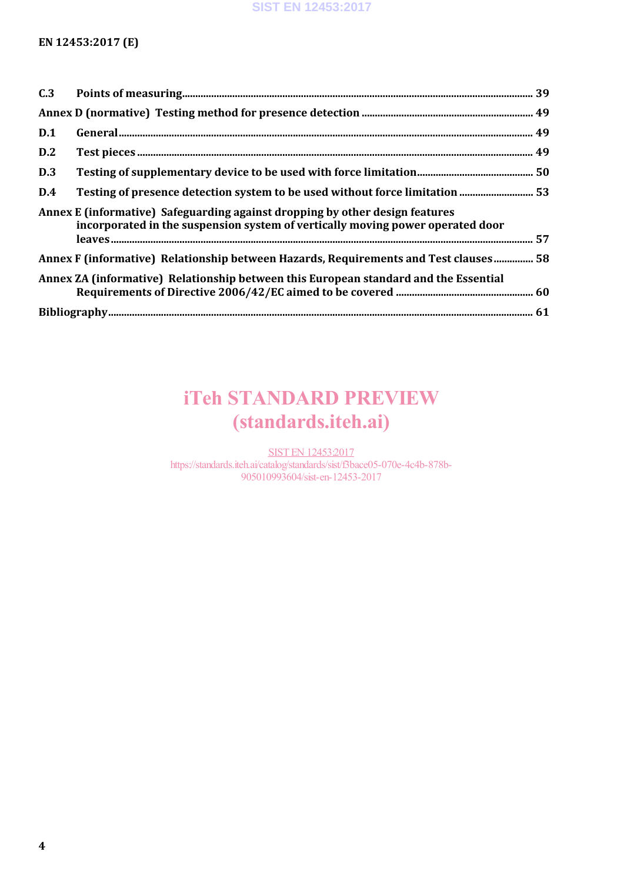#### **SIST EN 12453:2017**

#### **EN 12453:2017 (E)**

| C.3                                                                                                                                                            |                                                                                      |  |  |
|----------------------------------------------------------------------------------------------------------------------------------------------------------------|--------------------------------------------------------------------------------------|--|--|
|                                                                                                                                                                |                                                                                      |  |  |
| D.1                                                                                                                                                            |                                                                                      |  |  |
| D.2                                                                                                                                                            |                                                                                      |  |  |
| D.3                                                                                                                                                            |                                                                                      |  |  |
| D.4                                                                                                                                                            |                                                                                      |  |  |
| Annex E (informative) Safeguarding against dropping by other design features<br>incorporated in the suspension system of vertically moving power operated door |                                                                                      |  |  |
| Annex F (informative) Relationship between Hazards, Requirements and Test clauses 58                                                                           |                                                                                      |  |  |
|                                                                                                                                                                | Annex ZA (informative) Relationship between this European standard and the Essential |  |  |
|                                                                                                                                                                |                                                                                      |  |  |

# iTeh STANDARD PREVIEW (standards.iteh.ai)

**SIST EN 12453:2017** https://standards.iteh.ai/catalog/standards/sist/f3bace05-070e-4c4b-878b-905010993604/sist-en-12453-2017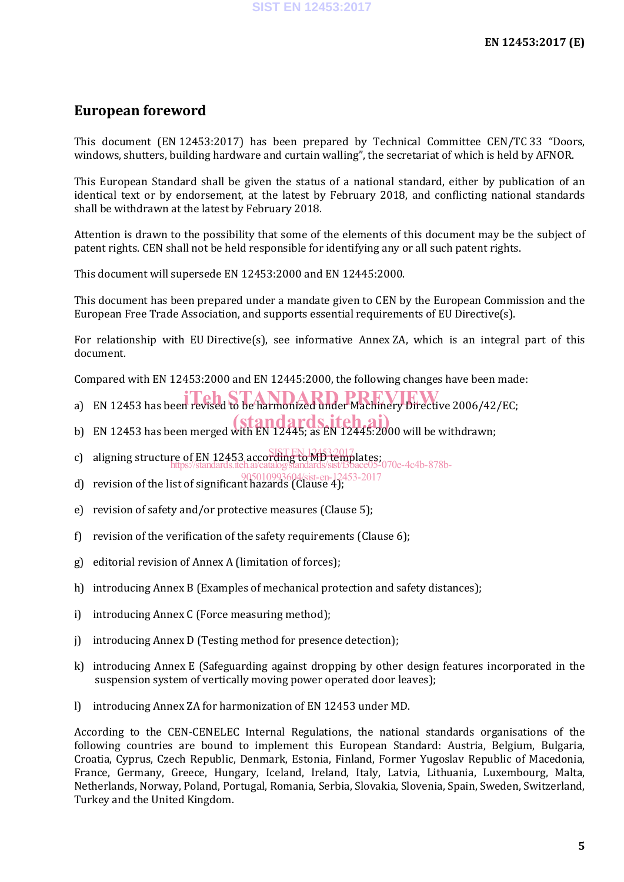# **European foreword**

This document (EN 12453:2017) has been prepared by Technical Committee CEN/TC 33 "Doors, windows, shutters, building hardware and curtain walling", the secretariat of which is held by AFNOR.

This European Standard shall be given the status of a national standard, either by publication of an identical text or by endorsement, at the latest by February 2018, and conflicting national standards shall be withdrawn at the latest by February 2018.

Attention is drawn to the possibility that some of the elements of this document may be the subject of patent rights. CEN shall not be held responsible for identifying any or all such patent rights.

This document will supersede EN 12453:2000 and EN 12445:2000.

This document has been prepared under a mandate given to CEN by the European Commission and the European Free Trade Association, and supports essential requirements of EU Directive(s).

For relationship with EU Directive(s), see informative Annex ZA, which is an integral part of this document.

Compared with EN 12453:2000 and EN 12445:2000, the following changes have been made:

- a) EN 12453 has been revised to be harmonized under Machinery Directive 2006/42/EC;
- b) EN 12453 has been merged with EN 12445; as EN 12445:2000 will be withdrawn;
- c) aligning structure of EN 12453 according to MD templates; https://standards.iteh.ai/catalog/standards/sist/f3bace05-070e-4c4b-878b-
- d) revision of the list of significant hazards (Clause 4); 905010993604/sist-en-12453-2017
- e) revision of safety and/or protective measures (Clause 5);
- f) revision of the verification of the safety requirements (Clause 6);
- g) editorial revision of Annex A (limitation of forces);
- h) introducing Annex B (Examples of mechanical protection and safety distances);
- i) introducing Annex C (Force measuring method);
- j) introducing Annex D (Testing method for presence detection);
- k) introducing Annex E (Safeguarding against dropping by other design features incorporated in the suspension system of vertically moving power operated door leaves);
- l) introducing Annex ZA for harmonization of EN 12453 under MD.

According to the CEN-CENELEC Internal Regulations, the national standards organisations of the following countries are bound to implement this European Standard: Austria, Belgium, Bulgaria, Croatia, Cyprus, Czech Republic, Denmark, Estonia, Finland, Former Yugoslav Republic of Macedonia, France, Germany, Greece, Hungary, Iceland, Ireland, Italy, Latvia, Lithuania, Luxembourg, Malta, Netherlands, Norway, Poland, Portugal, Romania, Serbia, Slovakia, Slovenia, Spain, Sweden, Switzerland, Turkey and the United Kingdom.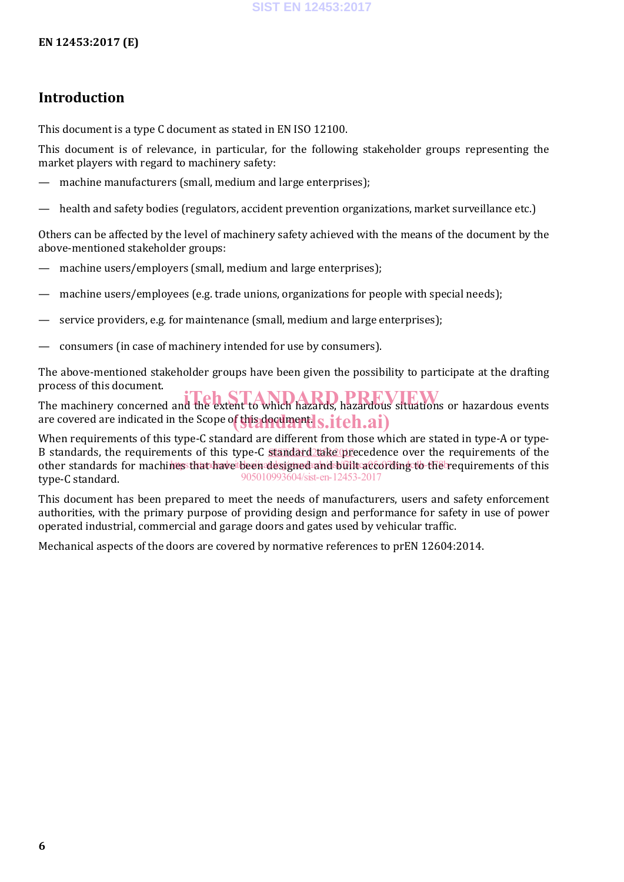# **Introduction**

This document is a type C document as stated in EN ISO 12100.

This document is of relevance, in particular, for the following stakeholder groups representing the market players with regard to machinery safety:

- machine manufacturers (small, medium and large enterprises);
- health and safety bodies (regulators, accident prevention organizations, market surveillance etc.)

Others can be affected by the level of machinery safety achieved with the means of the document by the above-mentioned stakeholder groups:

- machine users/employers (small, medium and large enterprises);
- machine users/employees (e.g. trade unions, organizations for people with special needs);
- service providers, e.g. for maintenance (small, medium and large enterprises);
- consumers (in case of machinery intended for use by consumers).

The above-mentioned stakeholder groups have been given the possibility to participate at the drafting process of this document.

The machinery concerned and the extent to which hazards, hazardous situations or hazardous events are covered are indicated in the Scope of this documentls.iteh.ai)

When requirements of this type-C standard are different from those which are stated in type-A or type-B standards, the requirements of this type-C standard take precedence over the requirements of the other standards for machines that have been designed and built according to the requirements of this type-C standard. 905010993604/sist-en-12453-2017

This document has been prepared to meet the needs of manufacturers, users and safety enforcement authorities, with the primary purpose of providing design and performance for safety in use of power operated industrial, commercial and garage doors and gates used by vehicular traffic.

Mechanical aspects of the doors are covered by normative references to prEN 12604:2014.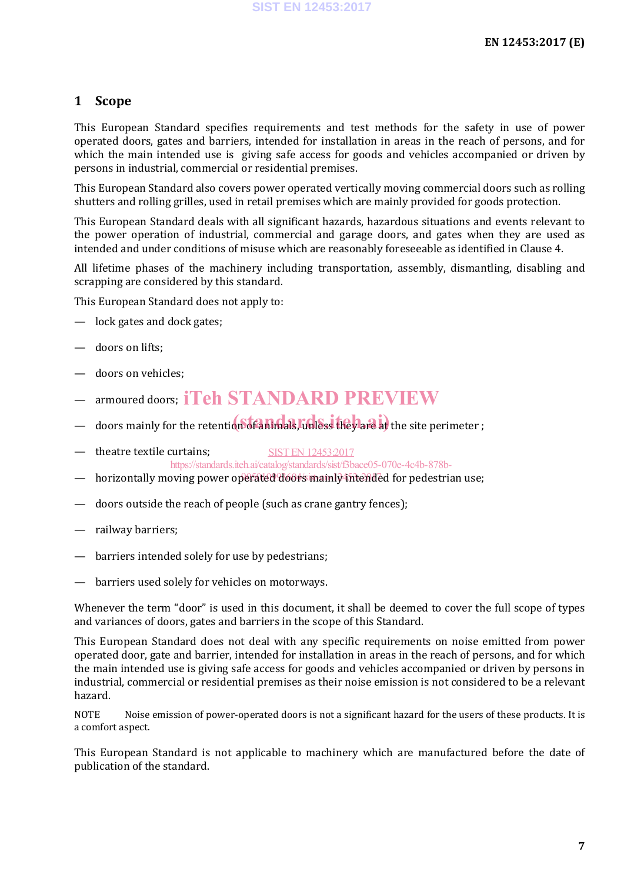#### **1 Scope**

This European Standard specifies requirements and test methods for the safety in use of power operated doors, gates and barriers, intended for installation in areas in the reach of persons, and for which the main intended use is giving safe access for goods and vehicles accompanied or driven by persons in industrial, commercial or residential premises.

This European Standard also covers power operated vertically moving commercial doors such as rolling shutters and rolling grilles, used in retail premises which are mainly provided for goods protection.

This European Standard deals with all significant hazards, hazardous situations and events relevant to the power operation of industrial, commercial and garage doors, and gates when they are used as intended and under conditions of misuse which are reasonably foreseeable as identified in Clause 4.

All lifetime phases of the machinery including transportation, assembly, dismantling, disabling and scrapping are considered by this standard.

This European Standard does not apply to:

- lock gates and dock gates;
- doors on lifts;
- doors on vehicles;
- armoured doors; iTeh STANDARD PREVIEW
- doors mainly for the retention of animals, unless they are at the site perimeter;
- theatre textile curtains; SIST EN 12453:2017 https://standards.iteh.ai/catalog/standards/sist/f3bace05-070e-4c4b-878b-
- horizontally moving power operated doors mainly intended for pedestrian use;
- doors outside the reach of people (such as crane gantry fences);
- railway barriers;
- barriers intended solely for use by pedestrians;
- barriers used solely for vehicles on motorways.

Whenever the term "door" is used in this document, it shall be deemed to cover the full scope of types and variances of doors, gates and barriers in the scope of this Standard.

This European Standard does not deal with any specific requirements on noise emitted from power operated door, gate and barrier, intended for installation in areas in the reach of persons, and for which the main intended use is giving safe access for goods and vehicles accompanied or driven by persons in industrial, commercial or residential premises as their noise emission is not considered to be a relevant hazard.

NOTE Noise emission of power-operated doors is not a significant hazard for the users of these products. It is a comfort aspect.

This European Standard is not applicable to machinery which are manufactured before the date of publication of the standard.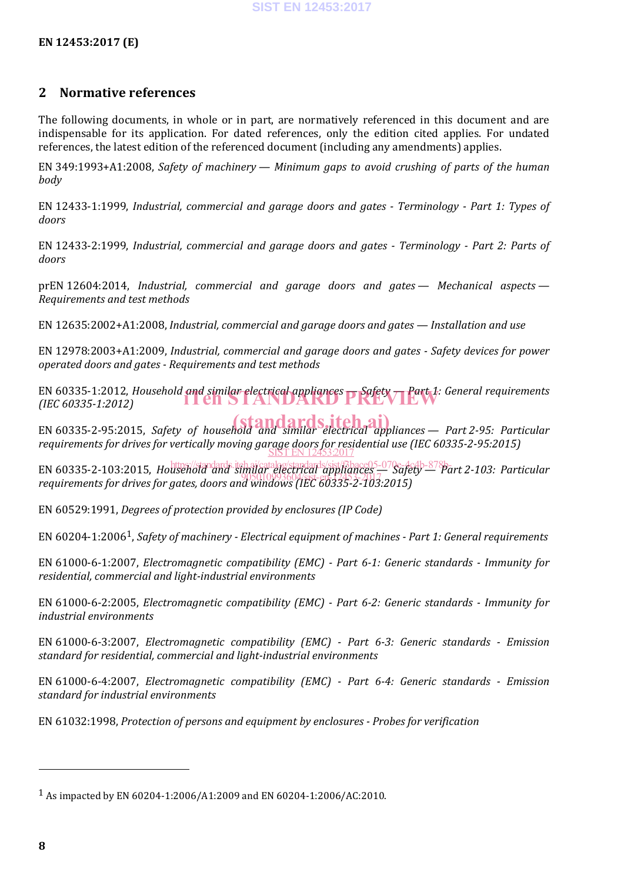#### **2 Normative references**

The following documents, in whole or in part, are normatively referenced in this document and are indispensable for its application. For dated references, only the edition cited applies. For undated references, the latest edition of the referenced document (including any amendments) applies.

EN 349:1993+A1:2008, *Safety of machinery — Minimum gaps to avoid crushing of parts of the human body*

EN 12433-1:1999, *Industrial, commercial and garage doors and gates - Terminology - Part 1: Types of doors*

EN 12433-2:1999, *Industrial, commercial and garage doors and gates - Terminology - Part 2: Parts of doors*

prEN 12604:2014, *Industrial, commercial and garage doors and gates — Mechanical aspects — Requirements and test methods*

EN 12635:2002+A1:2008, *Industrial, commercial and garage doors and gates — Installation and use*

EN 12978:2003+A1:2009, *Industrial, commercial and garage doors and gates - Safety devices for power operated doors and gates - Requirements and test methods*

EN 60335-1:2012, *Household and similar electrical appliances p Safety — Part 1: General requirements (IEC 60335-1:2012) (IEC 60335-1:2012)*

EN 60335-2-95:2015, *Safety of household and similar electrical appliances* — *Part 2-95: Particular requirements for drives for vertically moving garage doors for residential use (IEC 60335-2-95:2015)* SIST EN 12453:2017

EN 60335-2-103:2015, *Household and significately standards.ite/Bbace05-070e-4c4b-878b-art 2-103: Particular* EN 60555 2 105.2015, *Household and Similar 1993604/cdi dippidices*<br>requirements for drives for gates, doors and windows (IEC 60335-2-103:2015)

EN 60529:1991, *Degrees of protection provided by enclosures (IP Code)*

EN 60204-1:20061, *Safety of machinery - Electrical equipment of machines - Part 1: General requirements*

EN 61000-6-1:2007, *Electromagnetic compatibility (EMC) - Part 6-1: Generic standards - Immunity for residential, commercial and light-industrial environments*

EN 61000-6-2:2005, *Electromagnetic compatibility (EMC) - Part 6-2: Generic standards - Immunity for industrial environments*

EN 61000-6-3:2007, *Electromagnetic compatibility (EMC) - Part 6-3: Generic standards - Emission standard for residential, commercial and light-industrial environments*

EN 61000-6-4:2007, *Electromagnetic compatibility (EMC) - Part 6-4: Generic standards - Emission standard for industrial environments*

EN 61032:1998, *Protection of persons and equipment by enclosures - Probes for verification*

j

<sup>1</sup> As impacted by EN 60204-1:2006/A1:2009 and EN 60204-1:2006/AC:2010.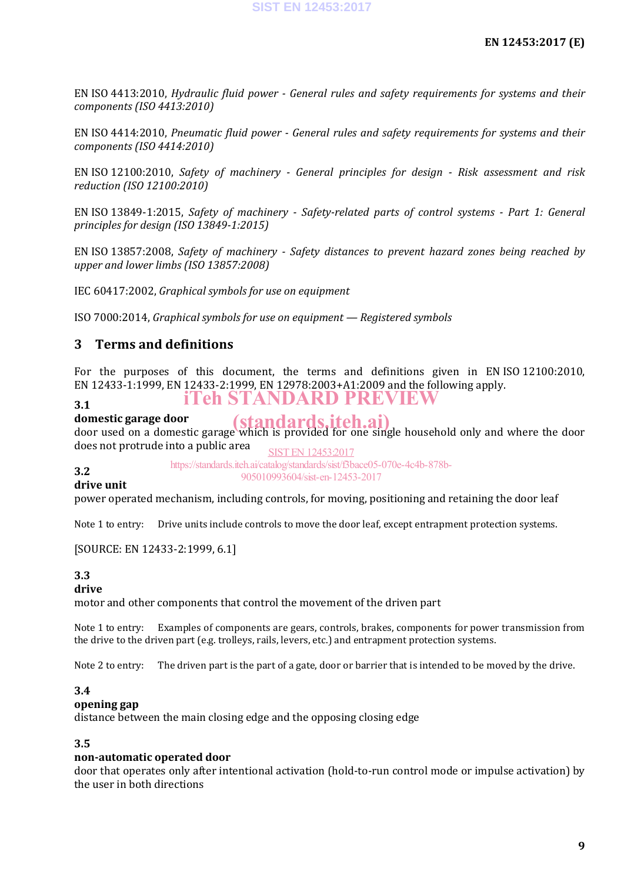EN ISO 4413:2010, *Hydraulic fluid power - General rules and safety requirements for systems and their components (ISO 4413:2010)*

EN ISO 4414:2010, *Pneumatic fluid power - General rules and safety requirements for systems and their components (ISO 4414:2010)*

EN ISO 12100:2010, *Safety of machinery - General principles for design - Risk assessment and risk reduction (ISO 12100:2010)*

EN ISO 13849-1:2015, *Safety of machinery - Safety-related parts of control systems - Part 1: General principles for design (ISO 13849-1:2015)*

EN ISO 13857:2008, *Safety of machinery - Safety distances to prevent hazard zones being reached by upper and lower limbs (ISO 13857:2008)*

IEC 60417:2002, *Graphical symbols for use on equipment*

ISO 7000:2014, *Graphical symbols for use on equipment — Registered symbols*

#### **3 Terms and definitions**

For the purposes of this document, the terms and definitions given in EN ISO 12100:2010, EN 12433-1:1999, EN 12433-2:1999, EN 12978:2003+A1:2009 and the following apply. iTeh STANDARD PREVIEW

#### **3.1**

**3.2**

**domestic garage door** domestic garage door<br>door used on a domestic garage which is provided for one single household only and where the door does not protrude into a public area

SIST EN 12453:2017

https://standards.iteh.ai/catalog/standards/sist/f3bace05-070e-4c4b-878b-905010993604/sist-en-12453-2017

#### **drive unit**

power operated mechanism, including controls, for moving, positioning and retaining the door leaf

Note 1 to entry: Drive units include controls to move the door leaf, except entrapment protection systems.

[SOURCE: EN 12433-2:1999, 6.1]

#### **3.3**

#### **drive**

motor and other components that control the movement of the driven part

Note 1 to entry: Examples of components are gears, controls, brakes, components for power transmission from the drive to the driven part (e.g. trolleys, rails, levers, etc.) and entrapment protection systems.

Note 2 to entry: The driven part is the part of a gate, door or barrier that is intended to be moved by the drive.

#### **3.4**

#### **opening gap**

distance between the main closing edge and the opposing closing edge

#### **3.5**

#### **non-automatic operated door**

door that operates only after intentional activation (hold-to-run control mode or impulse activation) by the user in both directions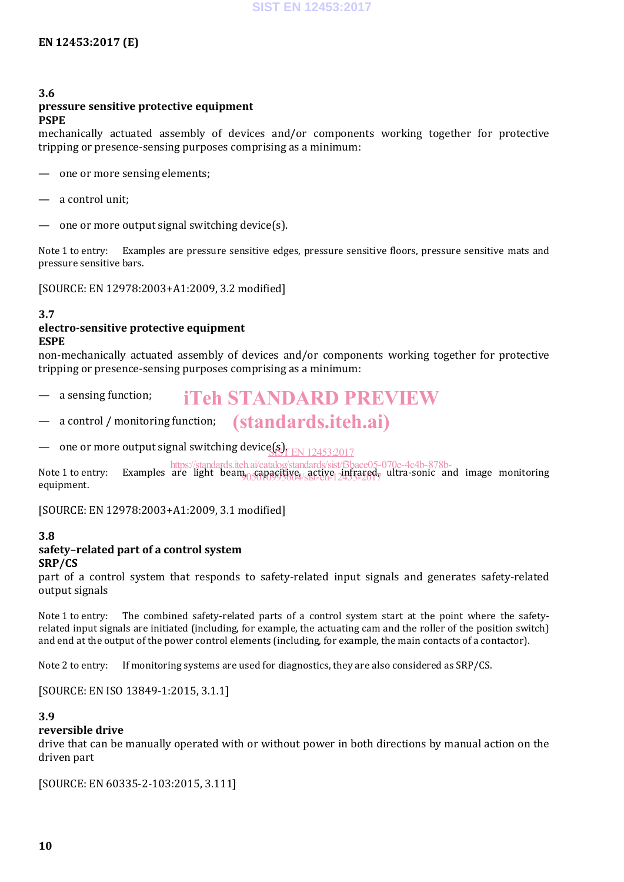#### **3.6**

## **pressure sensitive protective equipment**

#### **PSPE**

mechanically actuated assembly of devices and/or components working together for protective tripping or presence-sensing purposes comprising as a minimum:

- one or more sensing elements;
- a control unit;
- one or more output signal switching device(s).

Note 1 to entry: Examples are pressure sensitive edges, pressure sensitive floors, pressure sensitive mats and pressure sensitive bars.

[SOURCE: EN 12978:2003+A1:2009, 3.2 modified]

#### **3.7**

#### **electro-sensitive protective equipment ESPE**

non-mechanically actuated assembly of devices and/or components working together for protective tripping or presence-sensing purposes comprising as a minimum:

- a sensing function; iTeh STANDARD PREVIEW
- a control / monitoring function; (standards.iteh.ai)

 $-$  one or more output signal switching device  $\frac{1}{N}$  EN 12453:2017

Note I to entry: Examples are light beam<sub>00501</sub> active, active <sub>1</sub> infrared, ultra-sonic and image monitoring continued to the continued of the continued of the continued of the continued of the continued of the continued equipment. https://standards.iteh.ai/catalog/standards/sist/f3bace05-070e-4c4b-878b-

[SOURCE: EN 12978:2003+A1:2009, 3.1 modified]

#### **3.8**

#### **safety–related part of a control system**

#### **SRP/CS**

part of a control system that responds to safety-related input signals and generates safety-related output signals

Note 1 to entry: The combined safety-related parts of a control system start at the point where the safetyrelated input signals are initiated (including, for example, the actuating cam and the roller of the position switch) and end at the output of the power control elements (including, for example, the main contacts of a contactor).

Note 2 to entry: If monitoring systems are used for diagnostics, they are also considered as SRP/CS.

[SOURCE: EN ISO 13849-1:2015, 3.1.1]

#### **3.9**

#### **reversible drive**

drive that can be manually operated with or without power in both directions by manual action on the driven part

[SOURCE: EN 60335-2-103:2015, 3.111]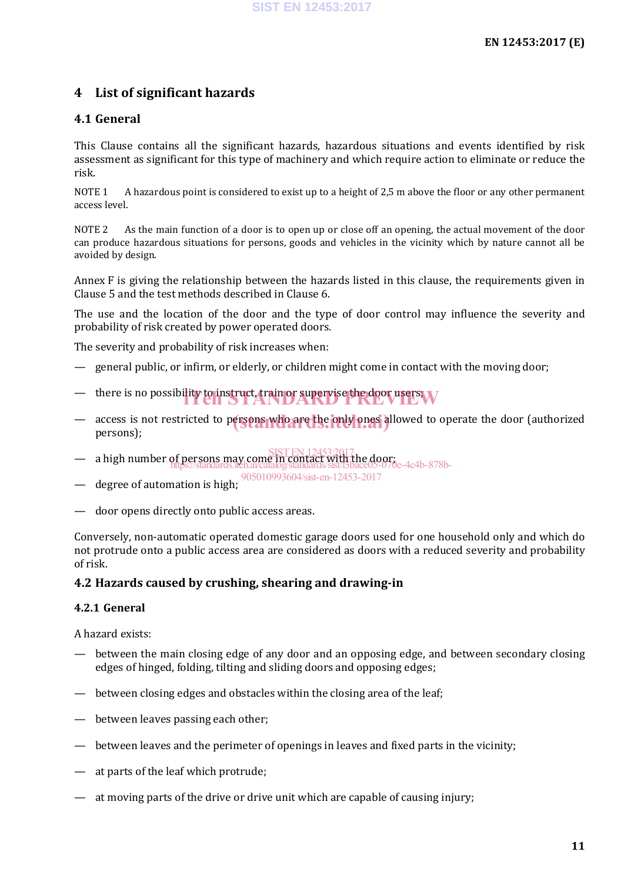### **4 List of significant hazards**

#### **4.1 General**

This Clause contains all the significant hazards, hazardous situations and events identified by risk assessment as significant for this type of machinery and which require action to eliminate or reduce the risk.

NOTE 1 A hazardous point is considered to exist up to a height of 2,5 m above the floor or any other permanent access level.

NOTE 2 As the main function of a door is to open up or close off an opening, the actual movement of the door can produce hazardous situations for persons, goods and vehicles in the vicinity which by nature cannot all be avoided by design.

Annex F is giving the relationship between the hazards listed in this clause, the requirements given in Clause 5 and the test methods described in Clause 6.

The use and the location of the door and the type of door control may influence the severity and probability of risk created by power operated doors.

The severity and probability of risk increases when:

- general public, or infirm, or elderly, or children might come in contact with the moving door;
- there is no possibility to instruct, train or supervise the door users W
- access is not restricted to persons who are the only ones allowed to operate the door (authorized nersons). persons);
- a high number of persons may come in contact with the door;<br>https://standards.ite.av/standards.iten.av SIST EN 12453;2017 https://standards.iteh.ai/catalog/standards/sist/f3bace05-070e-4c4b-878b-
- degree of automation is high; 905010993604/sist-en-12453-2017
- 
- door opens directly onto public access areas.

Conversely, non-automatic operated domestic garage doors used for one household only and which do not protrude onto a public access area are considered as doors with a reduced severity and probability of risk.

#### **4.2 Hazards caused by crushing, shearing and drawing-in**

#### **4.2.1 General**

A hazard exists:

- between the main closing edge of any door and an opposing edge, and between secondary closing edges of hinged, folding, tilting and sliding doors and opposing edges;
- between closing edges and obstacles within the closing area of the leaf;
- between leaves passing each other;
- between leaves and the perimeter of openings in leaves and fixed parts in the vicinity;
- at parts of the leaf which protrude;
- at moving parts of the drive or drive unit which are capable of causing injury;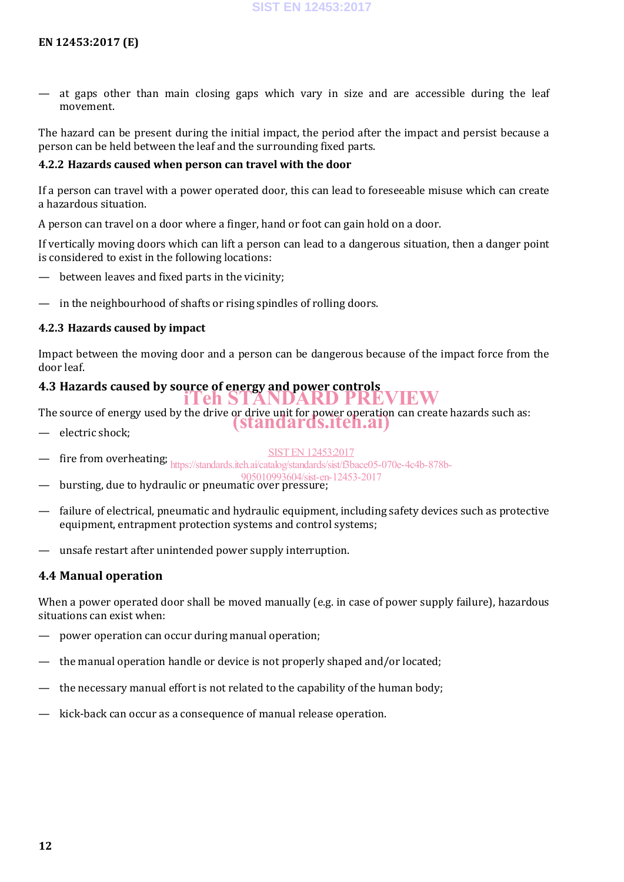at gaps other than main closing gaps which vary in size and are accessible during the leaf movement.

The hazard can be present during the initial impact, the period after the impact and persist because a person can be held between the leaf and the surrounding fixed parts.

#### **4.2.2 Hazards caused when person can travel with the door**

If a person can travel with a power operated door, this can lead to foreseeable misuse which can create a hazardous situation.

A person can travel on a door where a finger, hand or foot can gain hold on a door.

If vertically moving doors which can lift a person can lead to a dangerous situation, then a danger point is considered to exist in the following locations:

- between leaves and fixed parts in the vicinity;
- in the neighbourhood of shafts or rising spindles of rolling doors.

#### **4.2.3 Hazards caused by impact**

Impact between the moving door and a person can be dangerous because of the impact force from the door leaf.

### **4.3 Hazards caused by source of energy and power controls** iTeh STANDARD PREVIEW

The source of energy used by the drive or drive unit for power operation can create hazards such as:

- electric shock;
- SIST EN 12453:2017

(standards.iteh.ai)

- fire from overheating; https://standards.iteh.ai/catalog/standards/sist/Bbace05-070e-4c4b-878b-
- bursting, due to hydraulic or pneumatic over pressure; 905010993604/sist-en-12453-2017
- failure of electrical, pneumatic and hydraulic equipment, including safety devices such as protective equipment, entrapment protection systems and control systems;
- unsafe restart after unintended power supply interruption.

#### **4.4 Manual operation**

When a power operated door shall be moved manually (e.g. in case of power supply failure), hazardous situations can exist when:

- power operation can occur during manual operation;
- the manual operation handle or device is not properly shaped and/or located;
- the necessary manual effort is not related to the capability of the human body;
- kick-back can occur as a consequence of manual release operation.